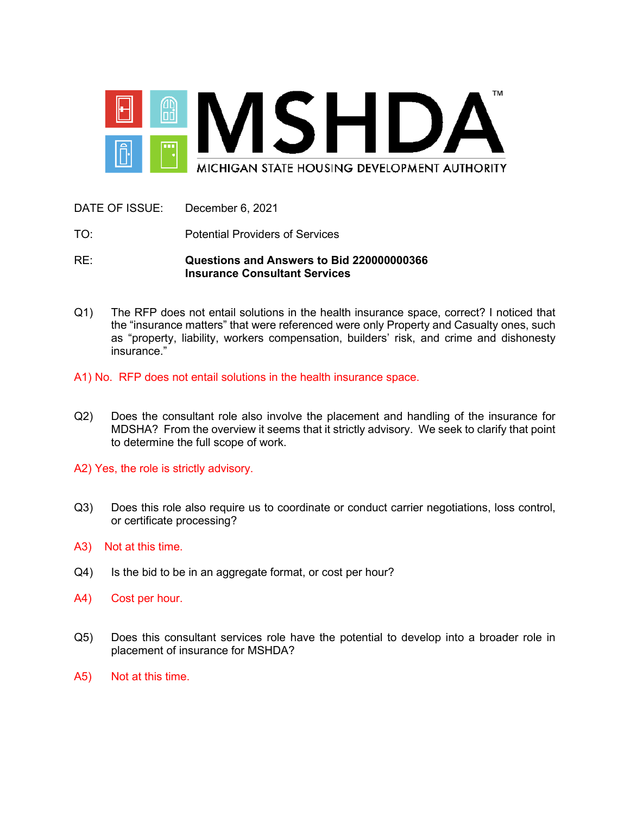

| RE:                             | Questions and Answers to Bid 220000000366<br><b>Insurance Consultant Services</b> |
|---------------------------------|-----------------------------------------------------------------------------------|
| TO.                             | <b>Potential Providers of Services</b>                                            |
| DATE OF ISSUE: December 6, 2021 |                                                                                   |

- Q1) The RFP does not entail solutions in the health insurance space, correct? I noticed that the "insurance matters" that were referenced were only Property and Casualty ones, such as "property, liability, workers compensation, builders' risk, and crime and dishonesty insurance."
- A1) No. RFP does not entail solutions in the health insurance space.
- Q2) Does the consultant role also involve the placement and handling of the insurance for MDSHA? From the overview it seems that it strictly advisory. We seek to clarify that point to determine the full scope of work.
- A2) Yes, the role is strictly advisory.
- Q3) Does this role also require us to coordinate or conduct carrier negotiations, loss control, or certificate processing?
- A3) Not at this time.
- Q4) Is the bid to be in an aggregate format, or cost per hour?
- A4) Cost per hour.
- Q5) Does this consultant services role have the potential to develop into a broader role in placement of insurance for MSHDA?
- A5) Not at this time.